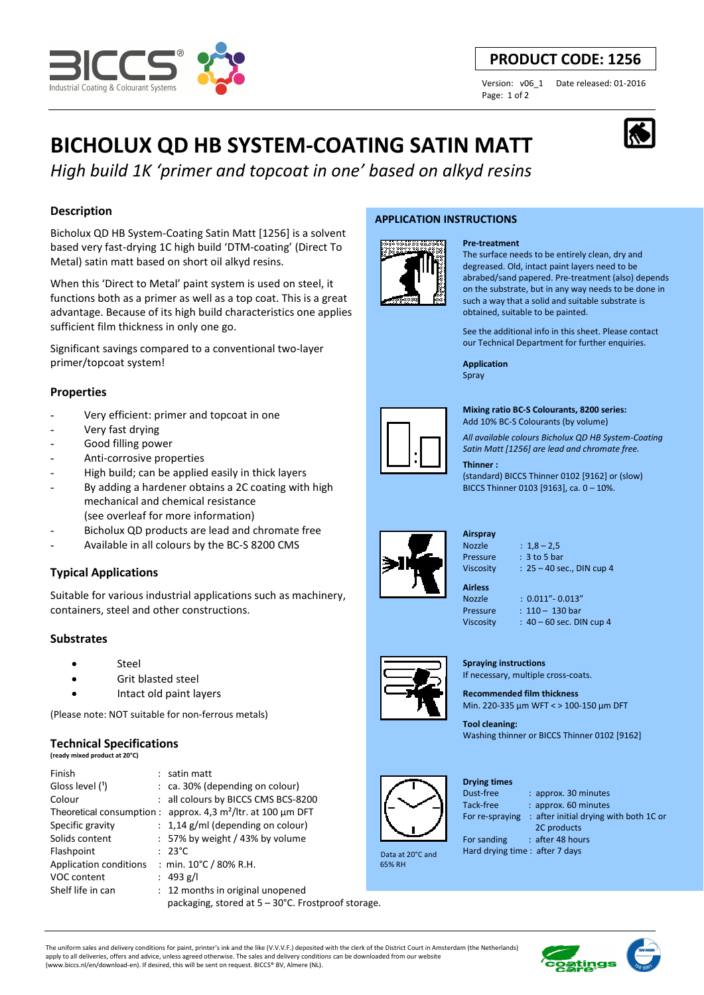

## **PRODUCT CODE: 1256**

Page: 1 of 2

Version: v06\_1 Date released: 01-2016

# **BICHOLUX QD HB SYSTEM-COATING SATIN MATT**

*High build 1K 'primer and topcoat in one' based on alkyd resins*

## **Description**

Bicholux QD HB System-Coating Satin Matt [1256] is a solvent based very fast-drying 1C high build 'DTM-coating' (Direct To Metal) satin matt based on short oil alkyd resins.

When this 'Direct to Metal' paint system is used on steel, it functions both as a primer as well as a top coat. This is a great advantage. Because of its high build characteristics one applies sufficient film thickness in only one go.

Significant savings compared to a conventional two-layer primer/topcoat system!

## **Properties**

- Very efficient: primer and topcoat in one
- Very fast drying
- Good filling power
- Anti-corrosive properties
- High build; can be applied easily in thick layers
- By adding a hardener obtains a 2C coating with high mechanical and chemical resistance
- (see overleaf for more information)
- Bicholux QD products are lead and chromate free
- Available in all colours by the BC-S 8200 CMS

## **Typical Applications**

Suitable for various industrial applications such as machinery, containers, steel and other constructions.

## **Substrates**

- **Steel**
- Grit blasted steel
- Intact old paint layers

(Please note: NOT suitable for non-ferrous metals)

#### **Technical Specifications**

**(ready mixed product at 20°C)**

| Finish                        | $:$ satin matt                                                  |   |
|-------------------------------|-----------------------------------------------------------------|---|
| Gloss level (1)               | $:$ ca. 30% (depending on colour)                               |   |
| Colour                        | : all colours by BICCS CMS BCS-8200                             |   |
|                               | Theoretical consumption : approx. 4,3 $m^2$ /ltr. at 100 µm DFT |   |
| Specific gravity              | $: 1,14$ g/ml (depending on colour)                             |   |
| Solids content                | : 57% by weight / 43% by volume                                 |   |
| Flashpoint                    | $: 23^{\circ}$ C                                                |   |
| <b>Application conditions</b> | : min. $10^{\circ}$ C / 80% R.H.                                | Е |
| VOC content                   | : 493 g/l                                                       |   |
| Shelf life in can             | : 12 months in original unopened                                |   |
|                               | packaging, stored at 5 – 30°C. Frostproof storage.              |   |

(www.biccs.nl/en/download-en). If desired, this will be sent on request. BICCS® BV, Almere (NL).

#### **APPLICATION INSTRUCTIONS**



The surface needs to be entirely clean, dry and degreased. Old, intact paint layers need to be abrabed/sand papered. Pre-treatment (also) depends on the substrate, but in any way needs to be done in such a way that a solid and suitable substrate is obtained, suitable to be painted.

See the additional info in this sheet. Please contact our Technical Department for further enquiries.

**Application**  Spray

**Pre-treatment**



**Mixing ratio BC-S Colourants, 8200 series:**  Add 10% BC-S Colourants (by volume)

*All available colours Bicholux QD HB System-Coating Satin Matt [1256] are lead and chromate free.*

#### **Thinner :**

(standard) BICCS Thinner 0102 [9162] or (slow) BICCS Thinner 0103 [9163], ca. 0 – 10%.



**Airspray**  Nozzle : 1,8 – 2,5 Pressure : 3 to 5 bar

Viscosity : 25 – 40 sec., DIN cup 4 **Airless**  Nozzle : 0.011"- 0.013"

- Pressure : 110 130 bar
- Viscosity : 40 60 sec. DIN cup 4

**Spraying instructions**  If necessary, multiple cross-coats.

**Recommended film thickness**  Min. 220-335 µm WFT < > 100-150 µm DFT

**Tool cleaning:**  Washing thinner or BICCS Thinner 0102 [9162]



 Data at 20°C and 65% RH

## **Drying times**

Tack-free : approx. 60 minutes

For re-spraying : after initial drying with both 1C or

: approx. 30 minutes

 2C products For sanding : after 48 hours

Hard drying time : after 7 days